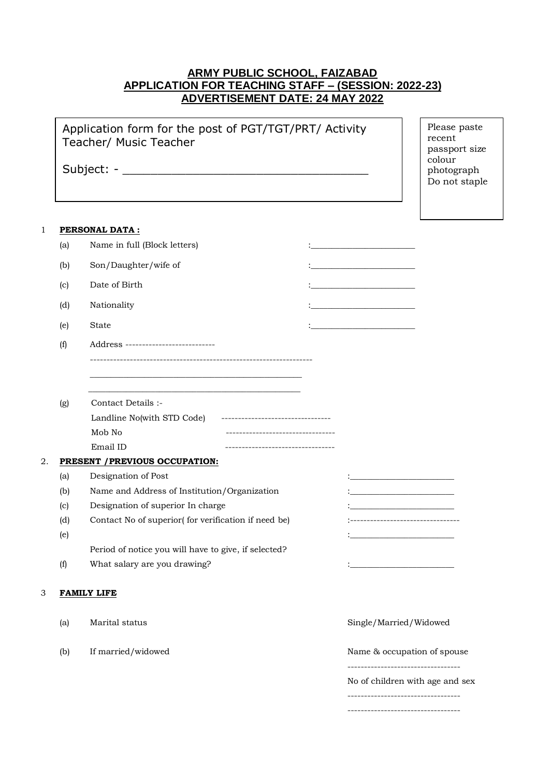# **ARMY PUBLIC SCHOOL, FAIZABAD APPLICATION FOR TEACHING STAFF – (SESSION: 2022-23) ADVERTISEMENT DATE: 24 MAY 2022**

|    |     | Application form for the post of PGT/TGT/PRT/ Activity<br>Teacher/ Music Teacher |  | Please paste<br>recent<br>passport size<br>colour<br>photograph<br>Do not staple                                                                                                                                                     |  |
|----|-----|----------------------------------------------------------------------------------|--|--------------------------------------------------------------------------------------------------------------------------------------------------------------------------------------------------------------------------------------|--|
| 1  |     | <b>PERSONAL DATA:</b>                                                            |  |                                                                                                                                                                                                                                      |  |
|    | (a) | Name in full (Block letters)                                                     |  |                                                                                                                                                                                                                                      |  |
|    | (b) | Son/Daughter/wife of                                                             |  | <u> 1989 - Johann John Stone, mars eta bat eta bat e</u>                                                                                                                                                                             |  |
|    |     |                                                                                  |  |                                                                                                                                                                                                                                      |  |
|    | (c) | Date of Birth                                                                    |  | <u> 1980 - Andrea Andrew Maria Barat (</u>                                                                                                                                                                                           |  |
|    | (d) | Nationality                                                                      |  | the control of the control of the control of                                                                                                                                                                                         |  |
|    | (e) | State                                                                            |  |                                                                                                                                                                                                                                      |  |
|    | (f) | Address ---------------------------                                              |  |                                                                                                                                                                                                                                      |  |
|    |     |                                                                                  |  |                                                                                                                                                                                                                                      |  |
|    |     | Contact Details :-                                                               |  |                                                                                                                                                                                                                                      |  |
|    | (g) | Landline No(with STD Code) ---------------------------------                     |  |                                                                                                                                                                                                                                      |  |
|    |     | Mob No<br>----------------------------------                                     |  |                                                                                                                                                                                                                                      |  |
|    |     | Email ID                                                                         |  |                                                                                                                                                                                                                                      |  |
| 2. |     | PRESENT / PREVIOUS OCCUPATION:                                                   |  |                                                                                                                                                                                                                                      |  |
|    | (a) | Designation of Post                                                              |  | the control of the control of the control of                                                                                                                                                                                         |  |
|    | (b) | Name and Address of Institution/Organization                                     |  |                                                                                                                                                                                                                                      |  |
|    | (c) | Designation of superior In charge                                                |  |                                                                                                                                                                                                                                      |  |
|    | (d) | Contact No of superior(for verification if need be)                              |  | ------------------------------                                                                                                                                                                                                       |  |
|    | (e) |                                                                                  |  |                                                                                                                                                                                                                                      |  |
|    |     | Period of notice you will have to give, if selected?                             |  |                                                                                                                                                                                                                                      |  |
|    | (f) | What salary are you drawing?                                                     |  | <u> 1950 - Johann John Harry John Harry John Harry John Harry John Harry John Harry John Harry John Harry John Harry John Harry John Harry John Harry John Harry John Harry John Harry John Harry John Harry John Harry John Har</u> |  |
| 3  |     | <b>FAMILY LIFE</b>                                                               |  |                                                                                                                                                                                                                                      |  |
|    | (a) | Marital status                                                                   |  | Single/Married/Widowed                                                                                                                                                                                                               |  |
|    | (b) | If married/widowed                                                               |  | Name & occupation of spouse                                                                                                                                                                                                          |  |
|    |     |                                                                                  |  | ----------------------<br>No of children with age and sex                                                                                                                                                                            |  |

----------------------------------

----------------------------------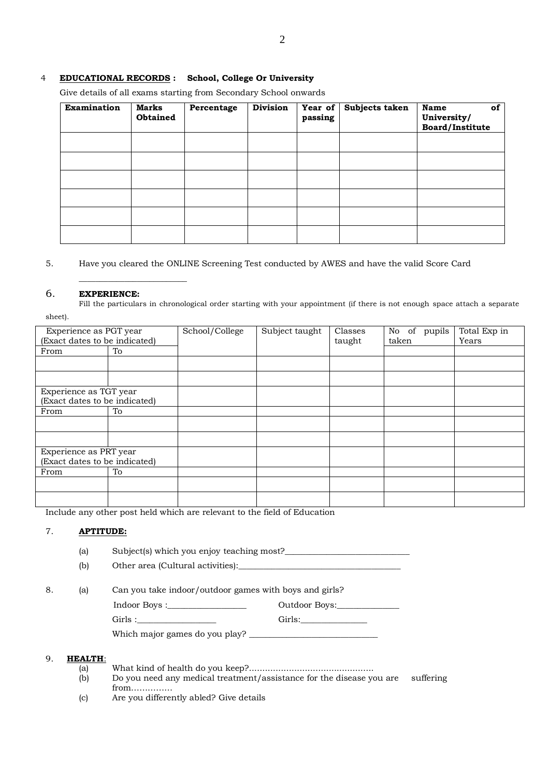### 4 **EDUCATIONAL RECORDS : School, College Or University**

Give details of all exams starting from Secondary School onwards

| <b>Examination</b> | <b>Marks</b><br><b>Obtained</b> | Percentage | <b>Division</b> | Year of $ $<br>passing | Subjects taken | <b>Name</b><br>of<br>University/<br>Board/Institute |
|--------------------|---------------------------------|------------|-----------------|------------------------|----------------|-----------------------------------------------------|
|                    |                                 |            |                 |                        |                |                                                     |
|                    |                                 |            |                 |                        |                |                                                     |
|                    |                                 |            |                 |                        |                |                                                     |
|                    |                                 |            |                 |                        |                |                                                     |
|                    |                                 |            |                 |                        |                |                                                     |
|                    |                                 |            |                 |                        |                |                                                     |

5. Have you cleared the ONLINE Screening Test conducted by AWES and have the valid Score Card

#### 6. **EXPERIENCE:**

**\_\_\_\_\_\_\_\_\_\_\_\_\_\_\_\_\_\_\_\_\_\_\_\_\_\_**

Fill the particulars in chronological order starting with your appointment (if there is not enough space attach a separate sheet).

| Experience as PGT year        |    | School/College | Subject taught | Classes | of<br>pupils<br>No | Total Exp in |
|-------------------------------|----|----------------|----------------|---------|--------------------|--------------|
| (Exact dates to be indicated) |    |                |                | taught  | taken              | Years        |
| From                          | To |                |                |         |                    |              |
|                               |    |                |                |         |                    |              |
|                               |    |                |                |         |                    |              |
| Experience as TGT year        |    |                |                |         |                    |              |
| (Exact dates to be indicated) |    |                |                |         |                    |              |
| From                          | To |                |                |         |                    |              |
|                               |    |                |                |         |                    |              |
|                               |    |                |                |         |                    |              |
| Experience as PRT year        |    |                |                |         |                    |              |
| (Exact dates to be indicated) |    |                |                |         |                    |              |
| From                          | To |                |                |         |                    |              |
|                               |    |                |                |         |                    |              |
|                               |    |                |                |         |                    |              |

Include any other post held which are relevant to the field of Education

## 7. **APTITUDE:**

(a) Subject(s) which you enjoy teaching most?

(b) Other area (Cultural activities):

8. (a) Can you take indoor/outdoor games with boys and girls?

Indoor Boys :\_\_\_\_\_\_\_\_\_\_\_\_\_\_\_\_\_\_\_ Outdoor Boys:\_\_\_\_\_\_\_\_\_\_\_\_\_\_\_

Girls :\_\_\_\_\_\_\_\_\_\_\_\_\_\_\_\_\_\_\_ Girls:\_\_\_\_\_\_\_\_\_\_\_\_\_\_\_\_

Which major games do you play? \_\_\_\_\_\_\_\_\_\_\_\_\_\_\_\_\_\_\_\_\_\_\_\_\_\_\_\_\_\_\_

#### 9. **HEALTH**:

- (a) What kind of health do you keep?...............................................
- $\overrightarrow{b}$  Do you need any medical treatment/assistance for the disease you are suffering from……………
- (c) Are you differently abled? Give details